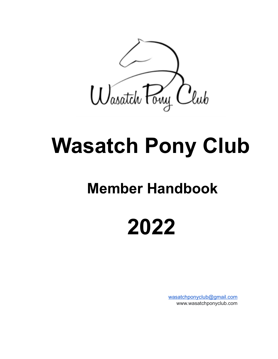

# **Wasatch Pony Club**

## **Member Handbook**

## **2022**

[wasatchponyclub@gmail.com](mailto:wasatchponyclub@gmail.com) www.wasatchponyclub.com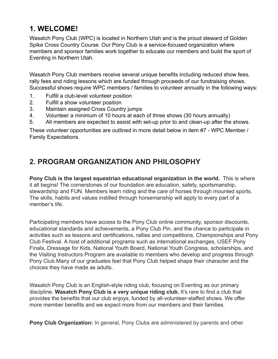## **1. WELCOME!**

Wasatch Pony Club (WPC) is located in Northern Utah and is the proud steward of Golden Spike Cross Country Course. Our Pony Club is a service-focused organization where members and sponsor families work together to educate our members and build the sport of Eventing in Northern Utah.

Wasatch Pony Club members receive several unique benefits including reduced show fees, rally fees and riding lessons which are funded through proceeds of our fundraising shows. Successful shows require WPC members / families to volunteer annually in the following ways:

- 1. Fulfill a club-level volunteer position
- 2. Fulfill a show volunteer position
- 3. Maintain assigned Cross Country jumps
- 4. Volunteer a minimum of 10 hours at each of three shows (30 hours annually)
- 5. All members are expected to assist with set-up prior to and clean-up after the shows.

These volunteer opportunities are outlined in more detail below in item #7 - WPC Member / Family Expectations.

## **2. PROGRAM ORGANIZATION AND PHILOSOPHY**

**Pony Club is the largest equestrian educational organization in the world.** This is where it all begins! The cornerstones of our foundation are education, safety, sportsmanship, stewardship and FUN. Members learn riding and the care of horses through mounted sports. The skills, habits and values instilled through horsemanship will apply to every part of a member's life.

Participating members have access to the Pony Club online community, sponsor discounts, educational standards and achievements, a Pony Club Pin, and the chance to participate in activities such as lessons and certifications, rallies and competitions, Championships and Pony Club Festival. A host of additional programs such as international exchanges, USEF Pony Finals, Dressage for Kids, National Youth Board, National Youth Congress, scholarships, and the Visiting Instructors Program are available to members who develop and progress through Pony Club.Many of our graduates feel that Pony Club helped shape their character and the choices they have made as adults.

Wasatch Pony Club is an English-style riding club, focusing on Eventing as our primary discipline. **Wasatch Pony Club is a very unique riding club.** It's rare to find a club that provides the benefits that our club enjoys, funded by all-volunteer-staffed shows. We offer more member benefits and we expect more from our members and their families.

**Pony Club Organization:** In general, Pony Clubs are administered by parents and other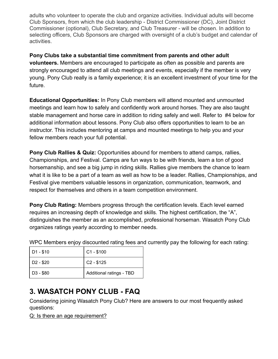adults who volunteer to operate the club and organize activities. Individual adults will become Club Sponsors, from which the club leadership - District Commissioner (DC), Joint District Commissioner (optional), Club Secretary, and Club Treasurer - will be chosen. In addition to selecting officers, Club Sponsors are charged with oversight of a club's budget and calendar of activities.

**Pony Clubs take a substantial time commitment from parents and other adult volunteers.** Members are encouraged to participate as often as possible and parents are strongly encouraged to attend all club meetings and events, especially if the member is very young. Pony Club really is a family experience; it is an excellent investment of your time for the future.

**Educational Opportunities:** In Pony Club members will attend mounted and unmounted meetings and learn how to safely and confidently work around horses. They are also taught stable management and horse care in addition to riding safely and well. Refer to #4 below for additional information about lessons. Pony Club also offers opportunities to learn to be an instructor. This includes mentoring at camps and mounted meetings to help you and your fellow members reach your full potential.

**Pony Club Rallies & Quiz:** Opportunities abound for members to attend camps, rallies, Championships, and Festival. Camps are fun ways to be with friends, learn a ton of good horsemanship, and see a big jump in riding skills. Rallies give members the chance to learn what it is like to be a part of a team as well as how to be a leader. Rallies, Championships, and Festival give members valuable lessons in organization, communication, teamwork, and respect for themselves and others in a team competition environment.

**Pony Club Rating:** Members progress through the certification levels. Each level earned requires an increasing depth of knowledge and skills. The highest certification, the "A", distinguishes the member as an accomplished, professional horseman. Wasatch Pony Club organizes ratings yearly according to member needs.

| $D1 - $10$            | $C1 - $100$              |
|-----------------------|--------------------------|
| D <sub>2</sub> - \$20 | $C2 - $125$              |
| D3 - \$80             | Additional ratings - TBD |

WPC Members enjoy discounted rating fees and currently pay the following for each rating:

## **3. WASATCH PONY CLUB - FAQ**

Considering joining Wasatch Pony Club? Here are answers to our most frequently asked questions:

Q: Is there an age requirement?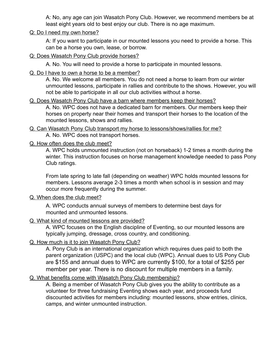A: No, any age can join Wasatch Pony Club. However, we recommend members be at least eight years old to best enjoy our club. There is no age maximum.

#### Q: Do I need my own horse?

A: If you want to participate in our mounted lessons you need to provide a horse. This can be a horse you own, lease, or borrow.

#### Q: Does Wasatch Pony Club provide horses?

A. No. You will need to provide a horse to participate in mounted lessons.

#### Q. Do I have to own a horse to be a member?

A. No. We welcome all members. You do not need a horse to learn from our winter unmounted lessons, participate in rallies and contribute to the shows. However, you will not be able to participate in all our club activities without a horse.

#### Q. Does Wasatch Pony Club have a barn where members keep their horses?

A. No. WPC does not have a dedicated barn for members. Our members keep their horses on property near their homes and transport their horses to the location of the mounted lessons, shows and rallies.

Q. Can Wasatch Pony Club transport my horse to lessons/shows/rallies for me? A. No. WPC does not transport horses.

#### Q. How often does the club meet?

A. WPC holds unmounted instruction (not on horseback) 1-2 times a month during the winter. This instruction focuses on horse management knowledge needed to pass Pony Club ratings.

From late spring to late fall (depending on weather) WPC holds mounted lessons for members. Lessons average 2-3 times a month when school is in session and may occur more frequently during the summer.

#### Q. When does the club meet?

A. WPC conducts annual surveys of members to determine best days for mounted and unmounted lessons.

#### Q. What kind of mounted lessons are provided?

A. WPC focuses on the English discipline of Eventing, so our mounted lessons are typically jumping, dressage, cross country, and conditioning.

#### Q. How much is it to join Wasatch Pony Club?

A. Pony Club is an international organization which requires dues paid to both the parent organization (USPC) and the local club (WPC). Annual dues to US Pony Club are \$155 and annual dues to WPC are currently \$100, for a total of \$255 per member per year. There is no discount for multiple members in a family.

#### Q. What benefits come with Wasatch Pony Club membership?

A. Being a member of Wasatch Pony Club gives you the ability to contribute as a volunteer for three fundraising Eventing shows each year, and proceeds fund discounted activities for members including: mounted lessons, show entries, clinics, camps, and winter unmounted instruction.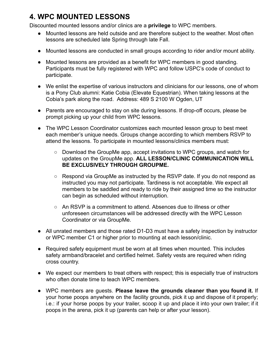## **4. WPC MOUNTED LESSONS**

Discounted mounted lessons and/or clinics are a **privilege** to WPC members.

- Mounted lessons are held outside and are therefore subject to the weather. Most often lessons are scheduled late Spring through late Fall.
- Mounted lessons are conducted in small groups according to rider and/or mount ability.
- Mounted lessons are provided as a benefit for WPC members in good standing. Participants must be fully registered with WPC and follow USPC's code of conduct to participate.
- We enlist the expertise of various instructors and clinicians for our lessons, one of whom is a Pony Club alumni: Katie Cobia (Elevate Equestrian). When taking lessons at the Cobia's park along the road. Address: 489 S 2100 W Ogden, UT
- Parents are encouraged to stay on site during lessons. If drop-off occurs, please be prompt picking up your child from WPC lessons.
- The WPC Lesson Coordinator customizes each mounted lesson group to best meet each member's unique needs. Groups change according to which members RSVP to attend the lessons. To participate in mounted lessons/clinics members must:
	- Download the GroupMe app, accept invitations to WPC groups, and watch for updates on the GroupMe app. **ALL LESSON/CLINIC COMMUNICATION WILL BE EXCLUSIVELY THROUGH GROUPME.**
	- Respond via GroupMe as instructed by the RSVP date. If you do not respond as instructed you may not participate. Tardiness is not acceptable. We expect all members to be saddled and ready to ride by their assigned time so the instructor can begin as scheduled without interruption.
	- An RSVP is a commitment to attend. Absences due to illness or other unforeseen circumstances will be addressed directly with the WPC Lesson Coordinator or via GroupMe.
- All unrated members and those rated D1-D3 must have a safety inspection by instructor or WPC member C1 or higher prior to mounting at each lesson/clinic.
- Required safety equipment must be worn at all times when mounted. This includes safety armband/bracelet and certified helmet. Safety vests are required when riding cross country.
- We expect our members to treat others with respect; this is especially true of instructors who often donate time to teach WPC members.
- WPC members are guests. **Please leave the grounds cleaner than you found it.** If your horse poops anywhere on the facility grounds, pick it up and dispose of it properly; i.e.: if your horse poops by your trailer, scoop it up and place it into your own trailer; if it poops in the arena, pick it up (parents can help or after your lesson).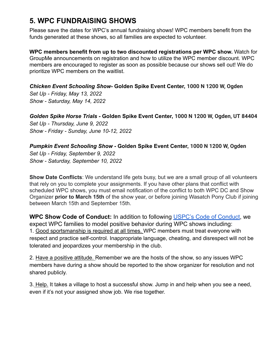## **5. WPC FUNDRAISING SHOWS**

Please save the dates for WPC's annual fundraising shows! WPC members benefit from the funds generated at these shows, so all families are expected to volunteer.

**WPC members benefit from up to two discounted registrations per WPC show.** Watch for GroupMe announcements on registration and how to utilize the WPC member discount. WPC members are encouraged to register as soon as possible because our shows sell out! We do prioritize WPC members on the waitlist.

*Chicken Event Schooling Show-* **Golden Spike Event Center, [1000 N 1200 W, Ogden](https://www.bing.com/local?lid=YN873x5555200210086873098&id=YN873x5555200210086873098&q=Golden+Spike+Event+Center&name=Golden+Spike+Event+Center&cp=41.272003173828125%7e-111.9994125366211&ppois=41.272003173828125_-111.9994125366211_Golden+Spike+Event+Center)** *Set Up - Friday, May 13, 2022 Show - Saturday, May 14, 2022*

*Golden Spike Horse Trials -* **Golden Spike Event Center, [1000 N 1200 W, Ogden, UT 84404](https://www.bing.com/local?lid=YN873x5555200210086873098&id=YN873x5555200210086873098&q=Golden+Spike+Event+Center&name=Golden+Spike+Event+Center&cp=41.272003173828125%7e-111.9994125366211&ppois=41.272003173828125_-111.9994125366211_Golden+Spike+Event+Center)** *Set Up - Thursday, June 9, 2022 Show - Friday - Sunday, June 10-12, 2022*

*Pumpkin Event Schooling Show -* **Golden Spike Event Center, [1000 N 1200 W, Ogden](https://www.bing.com/local?lid=YN873x5555200210086873098&id=YN873x5555200210086873098&q=Golden+Spike+Event+Center&name=Golden+Spike+Event+Center&cp=41.272003173828125%7e-111.9994125366211&ppois=41.272003173828125_-111.9994125366211_Golden+Spike+Event+Center)** *Set Up - Friday, September 9, 2022 Show - Saturday, September 10, 2022*

**Show Date Conflicts**: We understand life gets busy, but we are a small group of all volunteers that rely on you to complete your assignments. If you have other plans that conflict with scheduled WPC shows, you must email notification of the conflict to both WPC DC and Show Organizer **prior to March 15th** of the show year, or before joining Wasatch Pony Club if joining between March 15th and September 15th.

**WPC Show Code of Conduct:** In addition to following USPC's Code of [Conduct,](https://www.ponyclub.org/ContentDocs/GeneralAdmin/Safety/2022%20Safety%20handbook_FINAL%20PRINT.pdf) we expect WPC families to model positive behavior during WPC shows including: 1. Good sportsmanship is required at all times. WPC members must treat everyone with respect and practice self-control. Inappropriate language, cheating, and disrespect will not be tolerated and jeopardizes your membership in the club.

2. Have a positive attitude. Remember we are the hosts of the show, so any issues WPC members have during a show should be reported to the show organizer for resolution and not shared publicly.

3. Help. It takes a village to host a successful show. Jump in and help when you see a need, even if it's not your assigned show job. We rise together.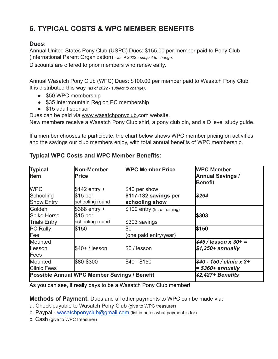## **6. TYPICAL COSTS & WPC MEMBER BENEFITS**

## **Dues:**

Annual United States Pony Club (USPC) Dues: \$155.00 per member paid to Pony Club (International Parent Organization) *- as of 2022 - subject to change.*

Discounts are offered to prior members who renew early.

Annual Wasatch Pony Club (WPC) Dues: \$100.00 per member paid to Wasatch Pony Club. It is distributed this way *(as of 2022 - subject to change)*:

- \$50 WPC membership
- \$35 Intermountain Region PC membership
- \$15 adult sponsor

Dues can be paid via [www.wasatchponyclub.](http://www.wasatchponyclub.org/)com website.

New members receive a Wasatch Pony Club shirt, a pony club pin, and a D level study guide.

If a member chooses to participate, the chart below shows WPC member pricing on activities and the savings our club members enjoy, with total annual benefits of WPC membership.

| <b>Typical</b><br><b>Item</b>                       | Non-Member<br><b>Price</b>                     | <b>WPC Member Price</b>                       | <b>WPC Member</b><br><b>Annual Savings /</b><br><b>Benefit</b> |
|-----------------------------------------------------|------------------------------------------------|-----------------------------------------------|----------------------------------------------------------------|
| <b>WPC</b><br>Schooling                             | $$142$ entry +<br>$$15$ per                    | \$40 per show<br>$$117-132$ savings per       | \$264                                                          |
| <b>Show Entry</b>                                   | schooling round                                | schooling show                                |                                                                |
| Golden<br><b>Spike Horse</b><br><b>Trials Entry</b> | $$388$ entry +<br>$$15$ per<br>schooling round | \$100 entry (Intro-Training)<br>\$303 savings | \$303                                                          |
| <b>PC Rally</b><br>Fee                              | \$150                                          | \$0<br>(one paid entry/year)                  | \$150                                                          |
| Mounted<br>Lesson<br>Fees                           | $$40+ /$ lesson                                | \$0 / lesson                                  | $$45/$ lesson x 30+ =<br>$$1,350+ annually$                    |
| Mounted<br><b>Clinic Fees</b>                       | \$80-\$300                                     | \$40 - \$150                                  | $$40 - 150 /$ clinic x 3+<br>$=$ \$360+ annually               |
|                                                     | Possible Annual WPC Member Savings / Benefit   |                                               | \$2,427+ Benefits                                              |

## **Typical WPC Costs and WPC Member Benefits:**

As you can see, it really pays to be a Wasatch Pony Club member!

**Methods of Payment.** Dues and all other payments to WPC can be made via:

- a. Check payable to Wasatch Pony Club (give to WPC treasurer)
- b. Paypal [wasatchponyclub@gmail.com](mailto:wasatchponyclub@gmail.com) (list in notes what payment is for)
- c. Cash (give to WPC treasurer)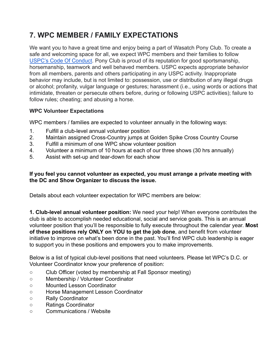## **7. WPC MEMBER / FAMILY EXPECTATIONS**

We want you to have a great time and enjoy being a part of Wasatch Pony Club. To create a safe and welcoming space for all, we expect WPC members and their families to follow [USPC's Code Of Conduct](https://www.ponyclub.org/ContentDocs/GeneralAdmin/Safety/2022%20Safety%20handbook_FINAL%20PRINT.pdf). Pony Club is proud of its reputation for good sportsmanship, horsemanship, teamwork and well behaved members. USPC expects appropriate behavior from all members, parents and others participating in any USPC activity. Inappropriate behavior may include, but is not limited to: possession, use or distribution of any illegal drugs or alcohol; profanity, vulgar language or gestures; harassment (i.e., using words or actions that intimidate, threaten or persecute others before, during or following USPC activities); failure to follow rules; cheating; and abusing a horse.

### **WPC Volunteer Expectations**

WPC members / families are expected to volunteer annually in the following ways:

- 1. Fulfill a club-level annual volunteer position
- 2. Maintain assigned Cross-Country jumps at Golden Spike Cross Country Course
- 3. Fulfill a minimum of one WPC show volunteer position
- 4. Volunteer a minimum of 10 hours at each of our three shows (30 hrs annually)
- 5. Assist with set-up and tear-down for each show

#### **If you feel you cannot volunteer as expected, you must arrange a private meeting with the DC and Show Organizer to discuss the issue.**

Details about each volunteer expectation for WPC members are below:

**1. Club-level annual volunteer position:** We need your help! When everyone contributes the club is able to accomplish needed educational, social and service goals. This is an annual volunteer position that you'll be responsible to fully execute throughout the calendar year. **Most of these positions rely ONLY on YOU to get the job done**, and benefit from volunteer initiative to improve on what's been done in the past. You'll find WPC club leadership is eager to support you in these positions and empowers you to make improvements.

Below is a list of typical club-level positions that need volunteers. Please let WPC's D.C. or Volunteer Coordinator know your preference of position:

- Club Officer (voted by membership at Fall Sponsor meeting)
- Membership / Volunteer Coordinator
- Mounted Lesson Coordinator
- Horse Management Lesson Coordinator
- Rally Coordinator
- Ratings Coordinator
- Communications / Website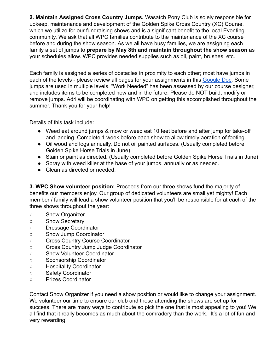**2. Maintain Assigned Cross Country Jumps.** Wasatch Pony Club is solely responsible for upkeep, maintenance and development of the Golden Spike Cross Country (XC) Course, which we utilize for our fundraising shows and is a significant benefit to the local Eventing community. We ask that all WPC families contribute to the maintenance of the XC course before and during the show season. As we all have busy families, we are assigning each family a set of jumps to **prepare by May 8th and maintain throughout the show season** as your schedules allow. WPC provides needed supplies such as oil, paint, brushes, etc.

Each family is assigned a series of obstacles in proximity to each other; most have jumps in each of the levels - please review all pages for your assignments in this [Google Doc.](https://docs.google.com/spreadsheets/d/1rFNJOwGpHY_35ckBsQVkTlCA84uCNLWaJ7xemBxR0Lg/edit?usp=sharing) Some jumps are used in multiple levels. "Work Needed" has been assessed by our course designer, and includes items to be completed now and in the future. Please do NOT build, modify or remove jumps. Adri will be coordinating with WPC on getting this accomplished throughout the summer. Thank you for your help!

Details of this task include:

- Weed eat around jumps & mow or weed eat 10 feet before and after jump for take-off and landing. Complete 1 week before each show to allow timely aeration of footing.
- Oil wood and logs annually. Do not oil painted surfaces. (Usually completed before Golden Spike Horse Trials in June)
- Stain or paint as directed. (Usually completed before Golden Spike Horse Trials in June)
- Spray with weed killer at the base of your jumps, annually or as needed.
- Clean as directed or needed.

**3. WPC Show volunteer position:** Proceeds from our three shows fund the majority of benefits our members enjoy. Our group of dedicated volunteers are small yet mighty! Each member / family will lead a show volunteer position that you'll be responsible for at each of the three shows throughout the year:

- Show Organizer
- Show Secretary
- Dressage Coordinator
- Show Jump Coordinator
- Cross Country Course Coordinator
- Cross Country Jump Judge Coordinator
- Show Volunteer Coordinator
- Sponsorship Coordinator
- Hospitality Coordinator
- Safety Coordinator
- Prizes Coordinator

Contact Show Organizer if you need a show position or would like to change your assignment. We volunteer our time to ensure our club and those attending the shows are set up for success. There are many ways to contribute so pick the one that is most appealing to you! We all find that it really becomes as much about the comradery than the work. It's a lot of fun and very rewarding!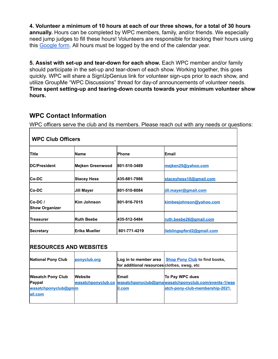**4. Volunteer a minimum of 10 hours at each of our three shows, for a total of 30 hours annually.** Hours can be completed by WPC members, family, and/or friends. We especially need jump judges to fill these hours! Volunteers are responsible for tracking their hours using this [Google form](https://docs.google.com/forms/d/e/1FAIpQLSfgKQfYVvrYUOYP0EwZYRgvWlZnQFqMqS3aW7fYq1YWqtEfMQ/viewform?usp=sf_link). All hours must be logged by the end of the calendar year.

**5. Assist with set-up and tear-down for each show.** Each WPC member and/or family should participate in the set-up and tear-down of each show. Working together, this goes quickly. WPC will share a SignUpGenius link for volunteer sign-ups prior to each show, and utilize GroupMe "WPC Discussions" thread for day-of announcements of volunteer needs. **Time spent setting-up and tearing-down counts towards your minimum volunteer show hours.**

## **WPC Contact Information**

WPC officers serve the club and its members. Please reach out with any needs or questions:

| <b>WPC Club Officers</b>          |                         |              |                           |
|-----------------------------------|-------------------------|--------------|---------------------------|
| Title                             | Name                    | <b>Phone</b> | Email                     |
| <b>DC/President</b>               | <b>Meiken Greenwood</b> | 801-510-3489 | mejken25@yahoo.com        |
| <b>Co-DC</b>                      | <b>Stacey Hess</b>      | 435-881-7986 | staceyhess10@gmail.com    |
| <b>Co-DC</b>                      | <b>Jill Mayer</b>       | 801-510-8084 | jill.mayer@gmail.com      |
| $Co-DC/$<br><b>Show Organizer</b> | Kim Johnson             | 801-916-7015 | kimbeejohnson@yahoo.com   |
| Treasurer                         | <b>Ruth Beebe</b>       | 435-512-5484 | ruth.beebe26@gmail.com    |
| <b>Secretary</b>                  | <b>Erika Mueller</b>    | 801-771-4219 | lieblingspferd2@gmail.com |

## $M = 0$  of  $\mathbb{R}$  of  $\mathbb{R}$

### **RESOURCES AND WEBSITES**

| <b>National Pony Club</b>                                            | ponyclub.org | Log in to member area<br>for additional resources clothes, swag, etc | <b>Shop Pony Club</b> to find books,                                                                                         |
|----------------------------------------------------------------------|--------------|----------------------------------------------------------------------|------------------------------------------------------------------------------------------------------------------------------|
| <b>Wasatch Pony Club</b><br>Paypal<br>wasatchponyclub@qmm<br>ail.com | Website      | <b>Email</b><br>il.com                                               | To Pay WPC dues<br>wasatchponyclub.co wasatchponyclub@gmawasatchponyclub.com/events-1/was<br>atch-pony-club-membership-2021. |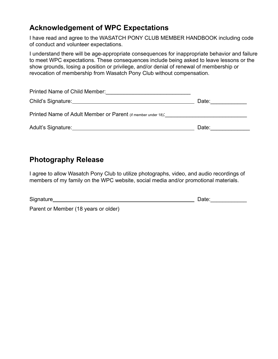## **Acknowledgement of WPC Expectations**

I have read and agree to the WASATCH PONY CLUB MEMBER HANDBOOK including code of conduct and volunteer expectations.

I understand there will be age-appropriate consequences for inappropriate behavior and failure to meet WPC expectations. These consequences include being asked to leave lessons or the show grounds, losing a position or privilege, and/or denial of renewal of membership or revocation of membership from Wasatch Pony Club without compensation.

| Printed Name of Child Member:<br><u> 1980 - Jan Barbara, martxa al II-lea (h. 1980).</u> |       |
|------------------------------------------------------------------------------------------|-------|
|                                                                                          | Date: |
|                                                                                          |       |
|                                                                                          | Date: |

## **Photography Release**

I agree to allow Wasatch Pony Club to utilize photographs, video, and audio recordings of members of my family on the WPC website, social media and/or promotional materials.

| Signature                            | Date: |
|--------------------------------------|-------|
| Parent or Member (18 years or older) |       |